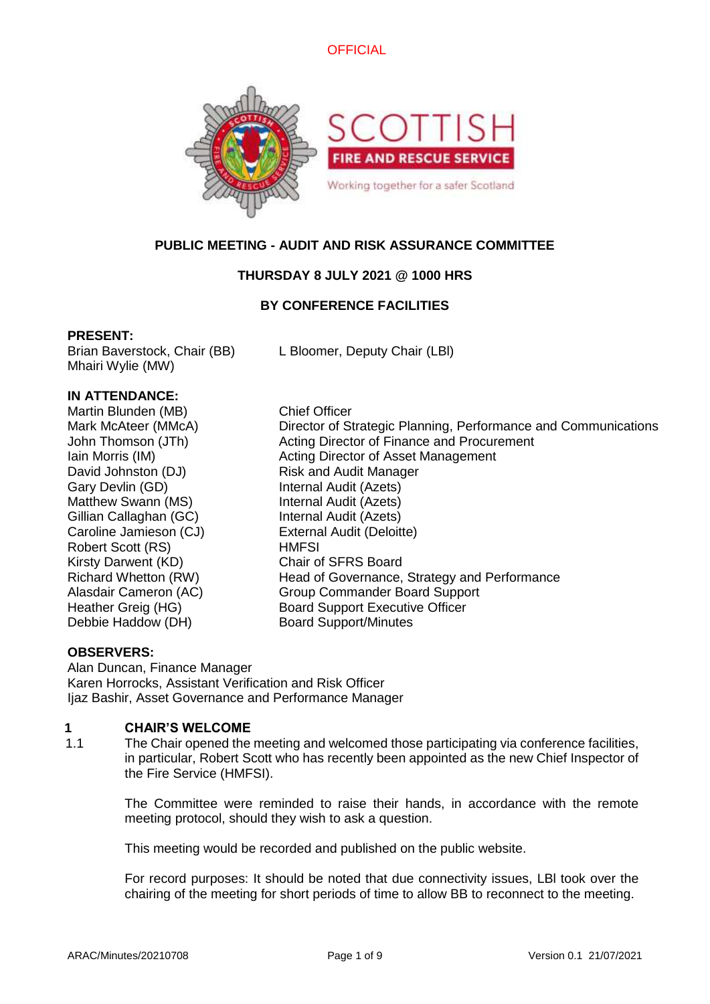



# **PUBLIC MEETING - AUDIT AND RISK ASSURANCE COMMITTEE**

# **THURSDAY 8 JULY 2021 @ 1000 HRS**

# **BY CONFERENCE FACILITIES**

### **PRESENT:**

Mhairi Wylie (MW)

Brian Baverstock, Chair (BB) L Bloomer, Deputy Chair (LBl)

### **IN ATTENDANCE:**

Martin Blunden (MB) Chief Officer David Johnston (DJ) Risk and Audit Manager Gary Devlin (GD) **Internal Audit (Azets)** Matthew Swann (MS) **Internal Audit (Azets)** Gillian Callaghan (GC) Internal Audit (Azets) Caroline Jamieson (CJ) External Audit (Deloitte) Robert Scott (RS) HMFSI Kirsty Darwent (KD) Chair of SFRS Board Debbie Haddow (DH) Board Support/Minutes

Mark McAteer (MMcA) Director of Strategic Planning, Performance and Communications John Thomson (JTh) Acting Director of Finance and Procurement Iain Morris (IM) **Acting Director of Asset Management** Richard Whetton (RW) Head of Governance, Strategy and Performance Alasdair Cameron (AC) Group Commander Board Support Heather Greig (HG) Board Support Executive Officer

### **OBSERVERS:**

Alan Duncan, Finance Manager Karen Horrocks, Assistant Verification and Risk Officer Ijaz Bashir, Asset Governance and Performance Manager

# **1 CHAIR'S WELCOME**

1.1 The Chair opened the meeting and welcomed those participating via conference facilities, in particular, Robert Scott who has recently been appointed as the new Chief Inspector of the Fire Service (HMFSI).

> The Committee were reminded to raise their hands, in accordance with the remote meeting protocol, should they wish to ask a question.

This meeting would be recorded and published on the public website.

For record purposes: It should be noted that due connectivity issues, LBl took over the chairing of the meeting for short periods of time to allow BB to reconnect to the meeting.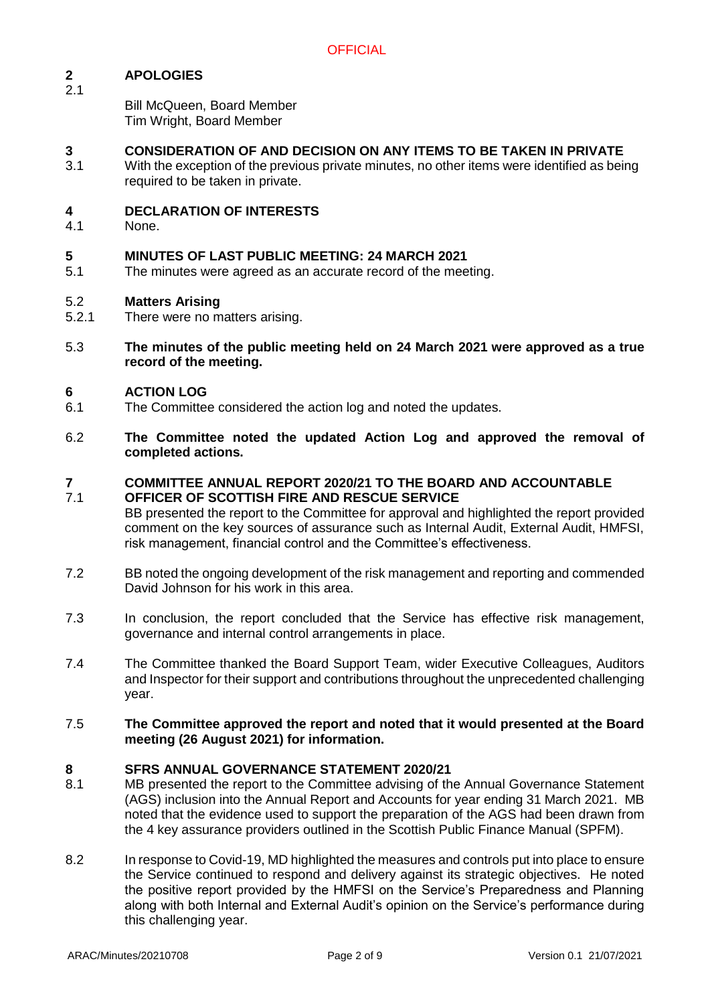### **2 APOLOGIES** 2.1

Bill McQueen, Board Member Tim Wright, Board Member

# **3 CONSIDERATION OF AND DECISION ON ANY ITEMS TO BE TAKEN IN PRIVATE**

3.1 With the exception of the previous private minutes, no other items were identified as being required to be taken in private.

### **4 DECLARATION OF INTERESTS**

4.1 None.

# **5 MINUTES OF LAST PUBLIC MEETING: 24 MARCH 2021**

5.1 The minutes were agreed as an accurate record of the meeting.

### 5.2 **Matters Arising**

- 5.2.1 There were no matters arising.
- 5.3 **The minutes of the public meeting held on 24 March 2021 were approved as a true record of the meeting.**

### **6 ACTION LOG**

- 6.1 The Committee considered the action log and noted the updates.
- 6.2 **The Committee noted the updated Action Log and approved the removal of completed actions.**

#### **7** 7.1 **COMMITTEE ANNUAL REPORT 2020/21 TO THE BOARD AND ACCOUNTABLE OFFICER OF SCOTTISH FIRE AND RESCUE SERVICE**

- BB presented the report to the Committee for approval and highlighted the report provided comment on the key sources of assurance such as Internal Audit, External Audit, HMFSI, risk management, financial control and the Committee's effectiveness.
- 7.2 BB noted the ongoing development of the risk management and reporting and commended David Johnson for his work in this area.
- 7.3 In conclusion, the report concluded that the Service has effective risk management, governance and internal control arrangements in place.
- 7.4 The Committee thanked the Board Support Team, wider Executive Colleagues, Auditors and Inspector for their support and contributions throughout the unprecedented challenging year.
- 7.5 **The Committee approved the report and noted that it would presented at the Board meeting (26 August 2021) for information.**

### **8 SFRS ANNUAL GOVERNANCE STATEMENT 2020/21**

- 8.1 MB presented the report to the Committee advising of the Annual Governance Statement (AGS) inclusion into the Annual Report and Accounts for year ending 31 March 2021. MB noted that the evidence used to support the preparation of the AGS had been drawn from the 4 key assurance providers outlined in the Scottish Public Finance Manual (SPFM).
- 8.2 In response to Covid-19, MD highlighted the measures and controls put into place to ensure the Service continued to respond and delivery against its strategic objectives. He noted the positive report provided by the HMFSI on the Service's Preparedness and Planning along with both Internal and External Audit's opinion on the Service's performance during this challenging year.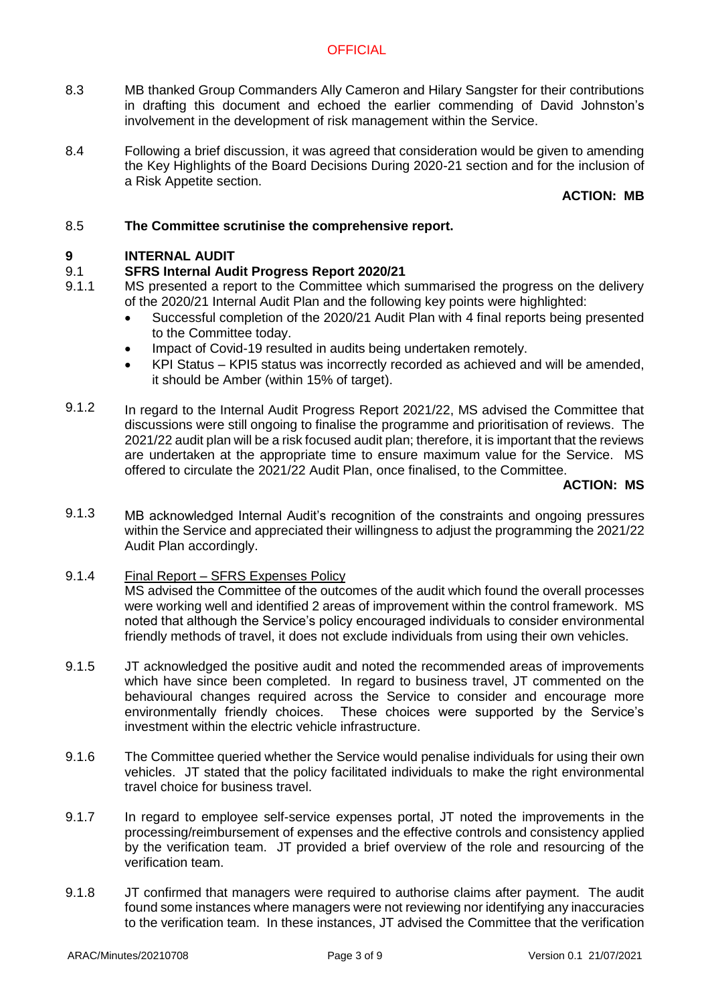# **OFFICIAL**

- 8.3 MB thanked Group Commanders Ally Cameron and Hilary Sangster for their contributions in drafting this document and echoed the earlier commending of David Johnston's involvement in the development of risk management within the Service.
- 8.4 Following a brief discussion, it was agreed that consideration would be given to amending the Key Highlights of the Board Decisions During 2020-21 section and for the inclusion of a Risk Appetite section.

# **ACTION: MB**

### 8.5 **The Committee scrutinise the comprehensive report.**

### **9 INTERNAL AUDIT**

### 9.1 **SFRS Internal Audit Progress Report 2020/21**

- 9.1.1 MS presented a report to the Committee which summarised the progress on the delivery of the 2020/21 Internal Audit Plan and the following key points were highlighted:
	- Successful completion of the 2020/21 Audit Plan with 4 final reports being presented to the Committee today.
	- Impact of Covid-19 resulted in audits being undertaken remotely.
	- KPI Status KPI5 status was incorrectly recorded as achieved and will be amended, it should be Amber (within 15% of target).
- 9.1.2 In regard to the Internal Audit Progress Report 2021/22, MS advised the Committee that discussions were still ongoing to finalise the programme and prioritisation of reviews. The 2021/22 audit plan will be a risk focused audit plan; therefore, it is important that the reviews are undertaken at the appropriate time to ensure maximum value for the Service. MS offered to circulate the 2021/22 Audit Plan, once finalised, to the Committee.

## **ACTION: MS**

9.1.3 MB acknowledged Internal Audit's recognition of the constraints and ongoing pressures within the Service and appreciated their willingness to adjust the programming the 2021/22 Audit Plan accordingly.

### 9.1.4 Final Report – SFRS Expenses Policy

MS advised the Committee of the outcomes of the audit which found the overall processes were working well and identified 2 areas of improvement within the control framework. MS noted that although the Service's policy encouraged individuals to consider environmental friendly methods of travel, it does not exclude individuals from using their own vehicles.

- 9.1.5 JT acknowledged the positive audit and noted the recommended areas of improvements which have since been completed. In regard to business travel, JT commented on the behavioural changes required across the Service to consider and encourage more environmentally friendly choices. These choices were supported by the Service's These choices were supported by the Service's investment within the electric vehicle infrastructure.
- 9.1.6 The Committee queried whether the Service would penalise individuals for using their own vehicles. JT stated that the policy facilitated individuals to make the right environmental travel choice for business travel.
- 9.1.7 In regard to employee self-service expenses portal, JT noted the improvements in the processing/reimbursement of expenses and the effective controls and consistency applied by the verification team. JT provided a brief overview of the role and resourcing of the verification team.
- 9.1.8 JT confirmed that managers were required to authorise claims after payment. The audit found some instances where managers were not reviewing nor identifying any inaccuracies to the verification team. In these instances, JT advised the Committee that the verification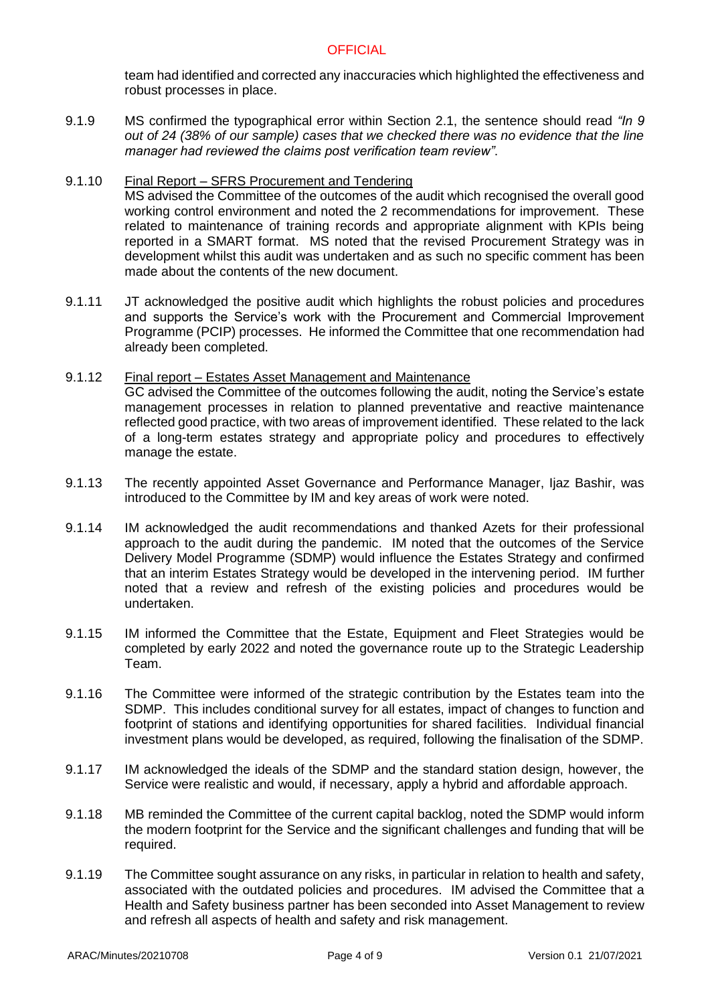team had identified and corrected any inaccuracies which highlighted the effectiveness and robust processes in place.

9.1.9 MS confirmed the typographical error within Section 2.1, the sentence should read *"In 9 out of 24 (38% of our sample) cases that we checked there was no evidence that the line manager had reviewed the claims post verification team review"*.

### 9.1.10 Final Report – SFRS Procurement and Tendering MS advised the Committee of the outcomes of the audit which recognised the overall good working control environment and noted the 2 recommendations for improvement. These related to maintenance of training records and appropriate alignment with KPIs being reported in a SMART format. MS noted that the revised Procurement Strategy was in development whilst this audit was undertaken and as such no specific comment has been made about the contents of the new document.

9.1.11 JT acknowledged the positive audit which highlights the robust policies and procedures and supports the Service's work with the Procurement and Commercial Improvement Programme (PCIP) processes. He informed the Committee that one recommendation had already been completed.

### 9.1.12 Final report – Estates Asset Management and Maintenance GC advised the Committee of the outcomes following the audit, noting the Service's estate management processes in relation to planned preventative and reactive maintenance reflected good practice, with two areas of improvement identified. These related to the lack of a long-term estates strategy and appropriate policy and procedures to effectively manage the estate.

- 9.1.13 The recently appointed Asset Governance and Performance Manager, Ijaz Bashir, was introduced to the Committee by IM and key areas of work were noted.
- 9.1.14 IM acknowledged the audit recommendations and thanked Azets for their professional approach to the audit during the pandemic. IM noted that the outcomes of the Service Delivery Model Programme (SDMP) would influence the Estates Strategy and confirmed that an interim Estates Strategy would be developed in the intervening period. IM further noted that a review and refresh of the existing policies and procedures would be undertaken.
- 9.1.15 IM informed the Committee that the Estate, Equipment and Fleet Strategies would be completed by early 2022 and noted the governance route up to the Strategic Leadership Team.
- 9.1.16 The Committee were informed of the strategic contribution by the Estates team into the SDMP. This includes conditional survey for all estates, impact of changes to function and footprint of stations and identifying opportunities for shared facilities. Individual financial investment plans would be developed, as required, following the finalisation of the SDMP.
- 9.1.17 IM acknowledged the ideals of the SDMP and the standard station design, however, the Service were realistic and would, if necessary, apply a hybrid and affordable approach.
- 9.1.18 MB reminded the Committee of the current capital backlog, noted the SDMP would inform the modern footprint for the Service and the significant challenges and funding that will be required.
- 9.1.19 The Committee sought assurance on any risks, in particular in relation to health and safety, associated with the outdated policies and procedures. IM advised the Committee that a Health and Safety business partner has been seconded into Asset Management to review and refresh all aspects of health and safety and risk management.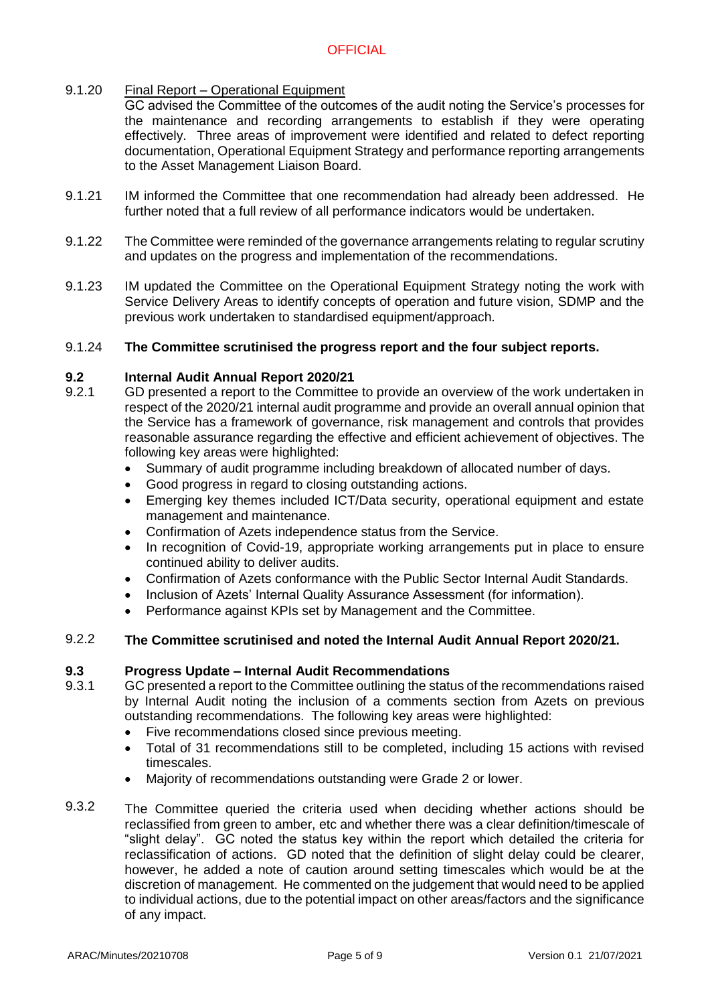### $9.1.20$ Final Report – Operational Equipment

GC advised the Committee of the outcomes of the audit noting the Service's processes for the maintenance and recording arrangements to establish if they were operating effectively. Three areas of improvement were identified and related to defect reporting documentation, Operational Equipment Strategy and performance reporting arrangements to the Asset Management Liaison Board.

- 9.1.21 IM informed the Committee that one recommendation had already been addressed. He further noted that a full review of all performance indicators would be undertaken.
- 9.1.22 The Committee were reminded of the governance arrangements relating to regular scrutiny and updates on the progress and implementation of the recommendations.
- 9.1.23 IM updated the Committee on the Operational Equipment Strategy noting the work with Service Delivery Areas to identify concepts of operation and future vision, SDMP and the previous work undertaken to standardised equipment/approach.

### 9.1.24 **The Committee scrutinised the progress report and the four subject reports.**

### **9.2 Internal Audit Annual Report 2020/21**

- 9.2.1 GD presented a report to the Committee to provide an overview of the work undertaken in respect of the 2020/21 internal audit programme and provide an overall annual opinion that the Service has a framework of governance, risk management and controls that provides reasonable assurance regarding the effective and efficient achievement of objectives. The following key areas were highlighted:
	- Summary of audit programme including breakdown of allocated number of days.
	- Good progress in regard to closing outstanding actions.
	- Emerging key themes included ICT/Data security, operational equipment and estate management and maintenance.
	- Confirmation of Azets independence status from the Service.
	- In recognition of Covid-19, appropriate working arrangements put in place to ensure continued ability to deliver audits.
	- Confirmation of Azets conformance with the Public Sector Internal Audit Standards.
	- Inclusion of Azets' Internal Quality Assurance Assessment (for information).
	- Performance against KPIs set by Management and the Committee.

### 9.2.2 **The Committee scrutinised and noted the Internal Audit Annual Report 2020/21.**

### **9.3 Progress Update – Internal Audit Recommendations**

- 9.3.1 GC presented a report to the Committee outlining the status of the recommendations raised by Internal Audit noting the inclusion of a comments section from Azets on previous outstanding recommendations. The following key areas were highlighted:
	- Five recommendations closed since previous meeting.
	- Total of 31 recommendations still to be completed, including 15 actions with revised timescales.
	- Majority of recommendations outstanding were Grade 2 or lower.
- 9.3.2 The Committee queried the criteria used when deciding whether actions should be reclassified from green to amber, etc and whether there was a clear definition/timescale of "slight delay". GC noted the status key within the report which detailed the criteria for reclassification of actions. GD noted that the definition of slight delay could be clearer, however, he added a note of caution around setting timescales which would be at the discretion of management. He commented on the judgement that would need to be applied to individual actions, due to the potential impact on other areas/factors and the significance of any impact.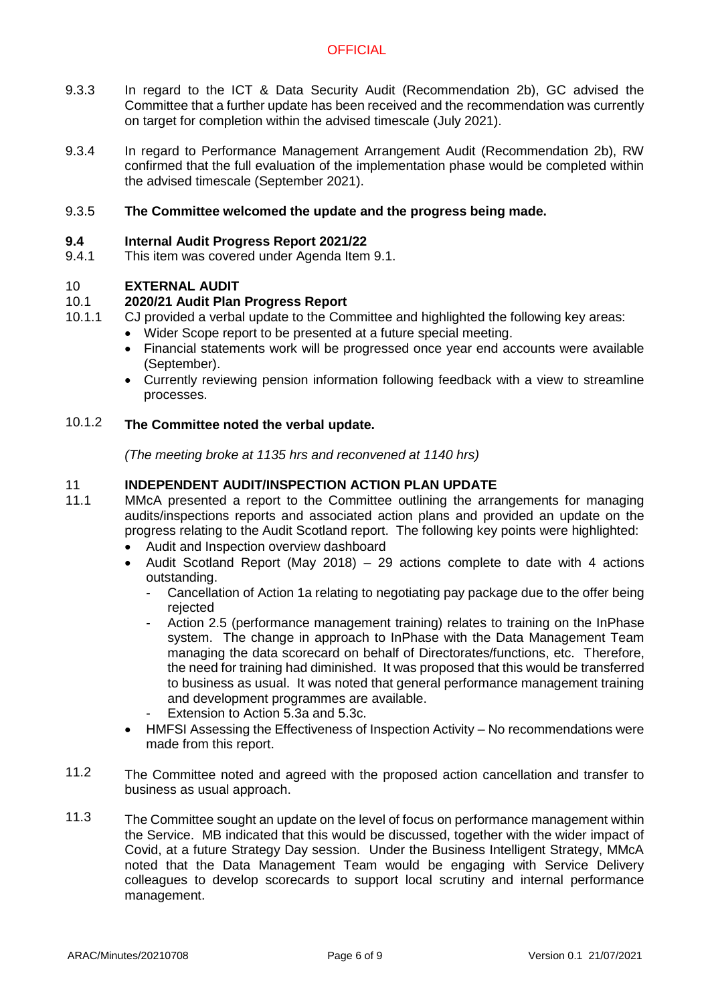# **OFFICIAL**

- 9.3.3 In regard to the ICT & Data Security Audit (Recommendation 2b), GC advised the Committee that a further update has been received and the recommendation was currently on target for completion within the advised timescale (July 2021).
- 9.3.4 In regard to Performance Management Arrangement Audit (Recommendation 2b), RW confirmed that the full evaluation of the implementation phase would be completed within the advised timescale (September 2021).

### 9.3.5 **The Committee welcomed the update and the progress being made.**

### **9.4 Internal Audit Progress Report 2021/22**

9.4.1 This item was covered under Agenda Item 9.1.

### 10 **EXTERNAL AUDIT**

### 10.1 **2020/21 Audit Plan Progress Report**

- 10.1.1 CJ provided a verbal update to the Committee and highlighted the following key areas:
	- Wider Scope report to be presented at a future special meeting.
	- Financial statements work will be progressed once year end accounts were available (September).
	- Currently reviewing pension information following feedback with a view to streamline processes.

### 10.1.2 **The Committee noted the verbal update.**

*(The meeting broke at 1135 hrs and reconvened at 1140 hrs)*

### 11 **INDEPENDENT AUDIT/INSPECTION ACTION PLAN UPDATE**

- 11.1 MMcA presented a report to the Committee outlining the arrangements for managing audits/inspections reports and associated action plans and provided an update on the progress relating to the Audit Scotland report. The following key points were highlighted:
	- Audit and Inspection overview dashboard
	- Audit Scotland Report (May 2018) 29 actions complete to date with 4 actions outstanding.
		- Cancellation of Action 1a relating to negotiating pay package due to the offer being rejected
		- Action 2.5 (performance management training) relates to training on the InPhase system. The change in approach to InPhase with the Data Management Team managing the data scorecard on behalf of Directorates/functions, etc. Therefore, the need for training had diminished. It was proposed that this would be transferred to business as usual. It was noted that general performance management training and development programmes are available.
		- Extension to Action 5.3a and 5.3c.
	- HMFSI Assessing the Effectiveness of Inspection Activity No recommendations were made from this report.
- 11.2 The Committee noted and agreed with the proposed action cancellation and transfer to business as usual approach.
- 11.3 The Committee sought an update on the level of focus on performance management within the Service. MB indicated that this would be discussed, together with the wider impact of Covid, at a future Strategy Day session. Under the Business Intelligent Strategy, MMcA noted that the Data Management Team would be engaging with Service Delivery colleagues to develop scorecards to support local scrutiny and internal performance management.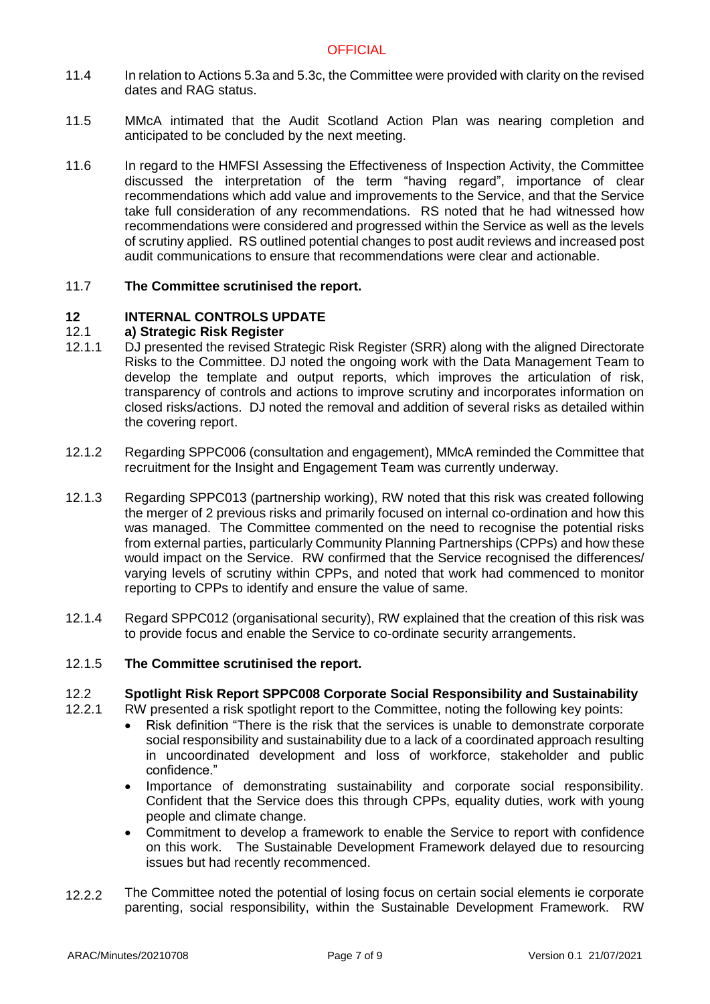- 11.4 In relation to Actions 5.3a and 5.3c, the Committee were provided with clarity on the revised dates and RAG status.
- 11.5 MMcA intimated that the Audit Scotland Action Plan was nearing completion and anticipated to be concluded by the next meeting.
- 11.6 In regard to the HMFSI Assessing the Effectiveness of Inspection Activity, the Committee discussed the interpretation of the term "having regard", importance of clear recommendations which add value and improvements to the Service, and that the Service take full consideration of any recommendations. RS noted that he had witnessed how recommendations were considered and progressed within the Service as well as the levels of scrutiny applied. RS outlined potential changes to post audit reviews and increased post audit communications to ensure that recommendations were clear and actionable.

### 11.7 **The Committee scrutinised the report.**

### **12 INTERNAL CONTROLS UPDATE**

### 12.1 **a) Strategic Risk Register**

- 12.1.1 DJ presented the revised Strategic Risk Register (SRR) along with the aligned Directorate Risks to the Committee. DJ noted the ongoing work with the Data Management Team to develop the template and output reports, which improves the articulation of risk, transparency of controls and actions to improve scrutiny and incorporates information on closed risks/actions. DJ noted the removal and addition of several risks as detailed within the covering report.
- 12.12 Regarding SPPC006 (consultation and engagement), MMcA reminded the Committee that recruitment for the Insight and Engagement Team was currently underway.
- 12.1.3 Regarding SPPC013 (partnership working), RW noted that this risk was created following the merger of 2 previous risks and primarily focused on internal co-ordination and how this was managed. The Committee commented on the need to recognise the potential risks from external parties, particularly Community Planning Partnerships (CPPs) and how these would impact on the Service. RW confirmed that the Service recognised the differences/ varying levels of scrutiny within CPPs, and noted that work had commenced to monitor reporting to CPPs to identify and ensure the value of same.
- 12.1.4 Regard SPPC012 (organisational security), RW explained that the creation of this risk was to provide focus and enable the Service to co-ordinate security arrangements.

### 12.1.5 **The Committee scrutinised the report.**

### 12.2 **Spotlight Risk Report SPPC008 Corporate Social Responsibility and Sustainability**

12.2.1 RW presented a risk spotlight report to the Committee, noting the following key points:

- Risk definition "There is the risk that the services is unable to demonstrate corporate social responsibility and sustainability due to a lack of a coordinated approach resulting in uncoordinated development and loss of workforce, stakeholder and public confidence."
- Importance of demonstrating sustainability and corporate social responsibility. Confident that the Service does this through CPPs, equality duties, work with young people and climate change.
- Commitment to develop a framework to enable the Service to report with confidence on this work. The Sustainable Development Framework delayed due to resourcing issues but had recently recommenced.
- 12.2.2 The Committee noted the potential of losing focus on certain social elements ie corporate parenting, social responsibility, within the Sustainable Development Framework. RW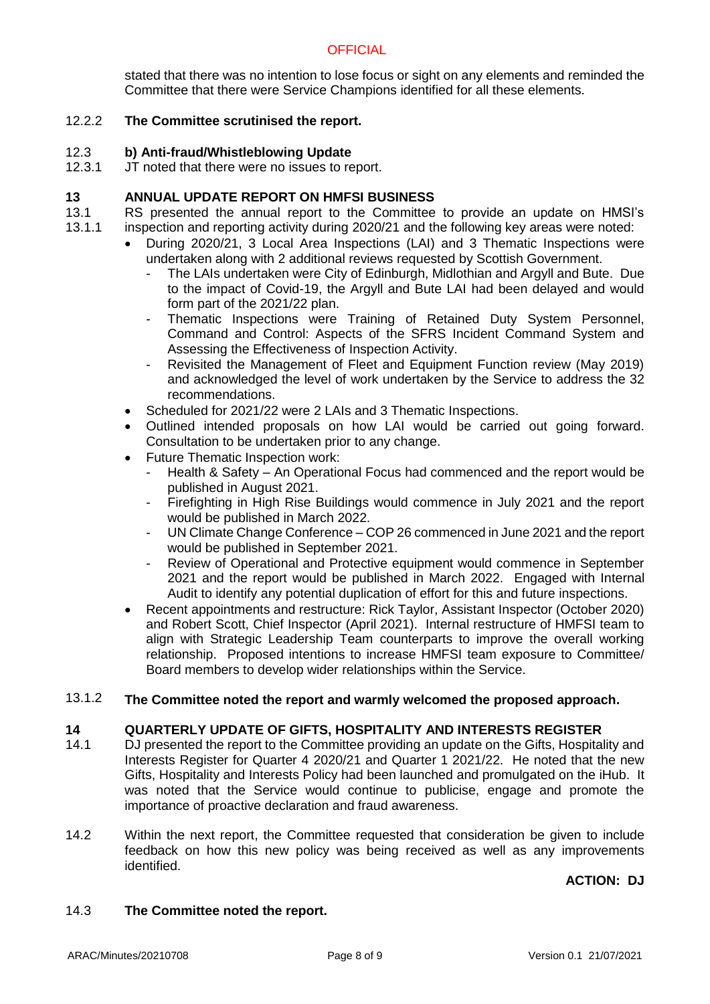# **OFFICIAL**

stated that there was no intention to lose focus or sight on any elements and reminded the Committee that there were Service Champions identified for all these elements.

### 12.2.2 **The Committee scrutinised the report.**

### 12.3 **b) Anti-fraud/Whistleblowing Update**

12.3.1 JT noted that there were no issues to report.

### **13 ANNUAL UPDATE REPORT ON HMFSI BUSINESS**

- 13.1 13.1.1 RS presented the annual report to the Committee to provide an update on HMSI's inspection and reporting activity during 2020/21 and the following key areas were noted:
	- During 2020/21, 3 Local Area Inspections (LAI) and 3 Thematic Inspections were undertaken along with 2 additional reviews requested by Scottish Government.
		- The LAIs undertaken were City of Edinburgh, Midlothian and Argyll and Bute. Due to the impact of Covid-19, the Argyll and Bute LAI had been delayed and would form part of the 2021/22 plan.
		- Thematic Inspections were Training of Retained Duty System Personnel, Command and Control: Aspects of the SFRS Incident Command System and Assessing the Effectiveness of Inspection Activity.
		- Revisited the Management of Fleet and Equipment Function review (May 2019) and acknowledged the level of work undertaken by the Service to address the 32 recommendations.
	- Scheduled for 2021/22 were 2 LAIs and 3 Thematic Inspections.
	- Outlined intended proposals on how LAI would be carried out going forward. Consultation to be undertaken prior to any change.
	- Future Thematic Inspection work:
		- Health & Safety An Operational Focus had commenced and the report would be published in August 2021.
		- Firefighting in High Rise Buildings would commence in July 2021 and the report would be published in March 2022.
		- UN Climate Change Conference COP 26 commenced in June 2021 and the report would be published in September 2021.
		- Review of Operational and Protective equipment would commence in September 2021 and the report would be published in March 2022. Engaged with Internal Audit to identify any potential duplication of effort for this and future inspections.
	- Recent appointments and restructure: Rick Taylor, Assistant Inspector (October 2020) and Robert Scott, Chief Inspector (April 2021). Internal restructure of HMFSI team to align with Strategic Leadership Team counterparts to improve the overall working relationship. Proposed intentions to increase HMFSI team exposure to Committee/ Board members to develop wider relationships within the Service.

### 13.1.2 **The Committee noted the report and warmly welcomed the proposed approach.**

### **14 QUARTERLY UPDATE OF GIFTS, HOSPITALITY AND INTERESTS REGISTER**

- 14.1 DJ presented the report to the Committee providing an update on the Gifts, Hospitality and Interests Register for Quarter 4 2020/21 and Quarter 1 2021/22. He noted that the new Gifts, Hospitality and Interests Policy had been launched and promulgated on the iHub. It was noted that the Service would continue to publicise, engage and promote the importance of proactive declaration and fraud awareness.
- 14.2 Within the next report, the Committee requested that consideration be given to include feedback on how this new policy was being received as well as any improvements identified.

# **ACTION: DJ**

### 14.3 **The Committee noted the report.**